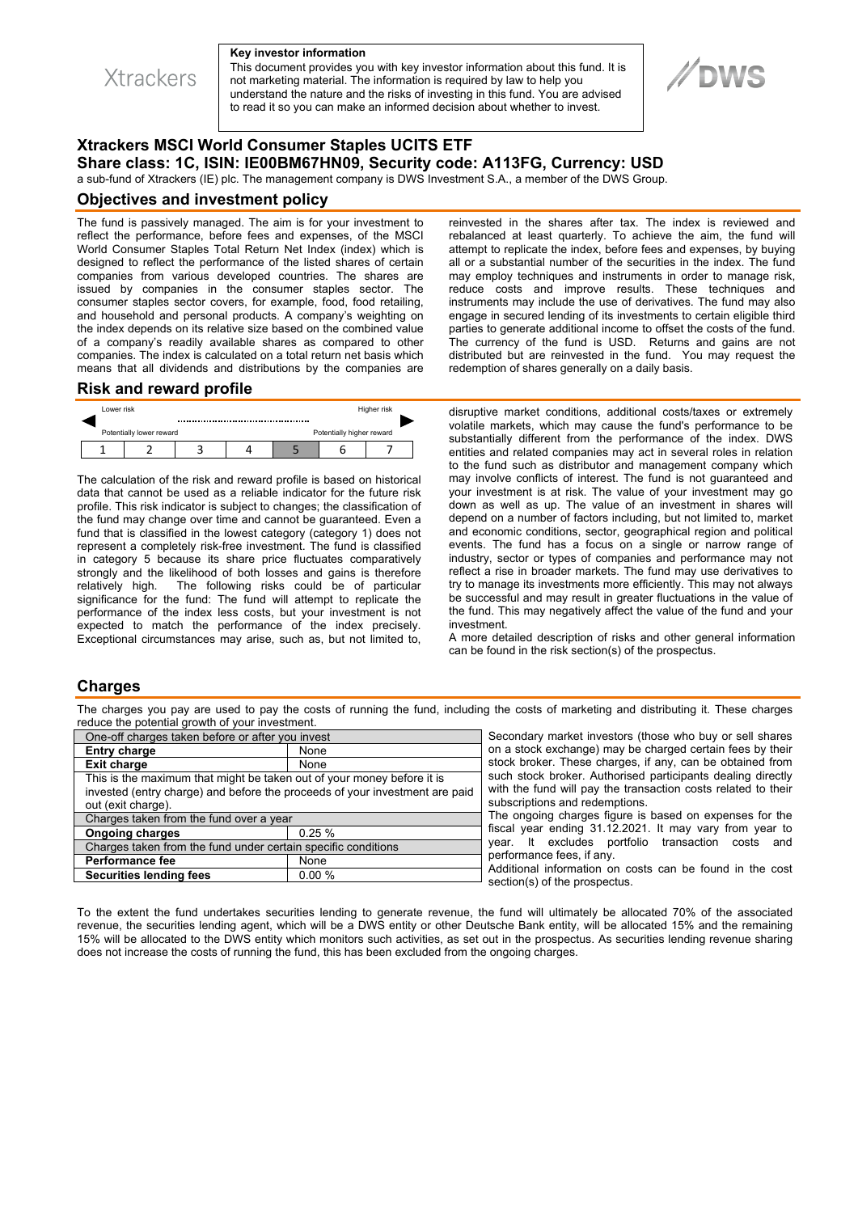

#### **Key investor information**

This document provides you with key investor information about this fund. It is not marketing material. The information is required by law to help you understand the nature and the risks of investing in this fund. You are advised to read it so you can make an informed decision about whether to invest.

# **Xtrackers MSCI World Consumer Staples UCITS ETF Share class: 1C, ISIN: IE00BM67HN09, Security code: A113FG, Currency: USD**

a sub-fund of Xtrackers (IE) plc. The management company is DWS Investment S.A., a member of the DWS Group.

#### **Objectives and investment policy**

The fund is passively managed. The aim is for your investment to reflect the performance, before fees and expenses, of the MSCI World Consumer Staples Total Return Net Index (index) which is designed to reflect the performance of the listed shares of certain companies from various developed countries. The shares are issued by companies in the consumer staples sector. The consumer staples sector covers, for example, food, food retailing, and household and personal products. A company's weighting on the index depends on its relative size based on the combined value of a company's readily available shares as compared to other companies. The index is calculated on a total return net basis which means that all dividends and distributions by the companies are

#### **Risk and reward profile**



The calculation of the risk and reward profile is based on historical data that cannot be used as a reliable indicator for the future risk profile. This risk indicator is subject to changes; the classification of the fund may change over time and cannot be guaranteed. Even a fund that is classified in the lowest category (category 1) does not represent a completely risk-free investment. The fund is classified in category 5 because its share price fluctuates comparatively strongly and the likelihood of both losses and gains is therefore relatively high. The following risks could be of particular significance for the fund: The fund will attempt to replicate the performance of the index less costs, but your investment is not expected to match the performance of the index precisely. Exceptional circumstances may arise, such as, but not limited to,

reinvested in the shares after tax. The index is reviewed and rebalanced at least quarterly. To achieve the aim, the fund will attempt to replicate the index, before fees and expenses, by buying all or a substantial number of the securities in the index. The fund may employ techniques and instruments in order to manage risk, reduce costs and improve results. These techniques and instruments may include the use of derivatives. The fund may also engage in secured lending of its investments to certain eligible third parties to generate additional income to offset the costs of the fund. The currency of the fund is USD. Returns and gains are not distributed but are reinvested in the fund. You may request the redemption of shares generally on a daily basis.

disruptive market conditions, additional costs/taxes or extremely volatile markets, which may cause the fund's performance to be substantially different from the performance of the index. DWS entities and related companies may act in several roles in relation to the fund such as distributor and management company which may involve conflicts of interest. The fund is not guaranteed and your investment is at risk. The value of your investment may go down as well as up. The value of an investment in shares will depend on a number of factors including, but not limited to, market and economic conditions, sector, geographical region and political events. The fund has a focus on a single or narrow range of industry, sector or types of companies and performance may not reflect a rise in broader markets. The fund may use derivatives to try to manage its investments more efficiently. This may not always be successful and may result in greater fluctuations in the value of the fund. This may negatively affect the value of the fund and your investment.

A more detailed description of risks and other general information can be found in the risk section(s) of the prospectus.

### **Charges**

The charges you pay are used to pay the costs of running the fund, including the costs of marketing and distributing it. These charges reduce the potential growth of your investment.

| One-off charges taken before or after you invest                            |       |
|-----------------------------------------------------------------------------|-------|
| <b>Entry charge</b>                                                         | None  |
| <b>Exit charge</b>                                                          | None  |
| This is the maximum that might be taken out of your money before it is      |       |
| invested (entry charge) and before the proceeds of your investment are paid |       |
| out (exit charge).                                                          |       |
| Charges taken from the fund over a year                                     |       |
| <b>Ongoing charges</b>                                                      | 0.25% |
| Charges taken from the fund under certain specific conditions               |       |
| <b>Performance fee</b>                                                      | None  |
| <b>Securities lending fees</b>                                              | 0.00% |

Secondary market investors (those who buy or sell shares on a stock exchange) may be charged certain fees by their stock broker. These charges, if any, can be obtained from such stock broker. Authorised participants dealing directly with the fund will pay the transaction costs related to their subscriptions and redemptions.

The ongoing charges figure is based on expenses for the fiscal year ending 31.12.2021. It may vary from year to year. It excludes portfolio transaction costs and performance fees, if any.

Additional information on costs can be found in the cost section(s) of the prospectus.

To the extent the fund undertakes securities lending to generate revenue, the fund will ultimately be allocated 70% of the associated revenue, the securities lending agent, which will be a DWS entity or other Deutsche Bank entity, will be allocated 15% and the remaining 15% will be allocated to the DWS entity which monitors such activities, as set out in the prospectus. As securities lending revenue sharing does not increase the costs of running the fund, this has been excluded from the ongoing charges.